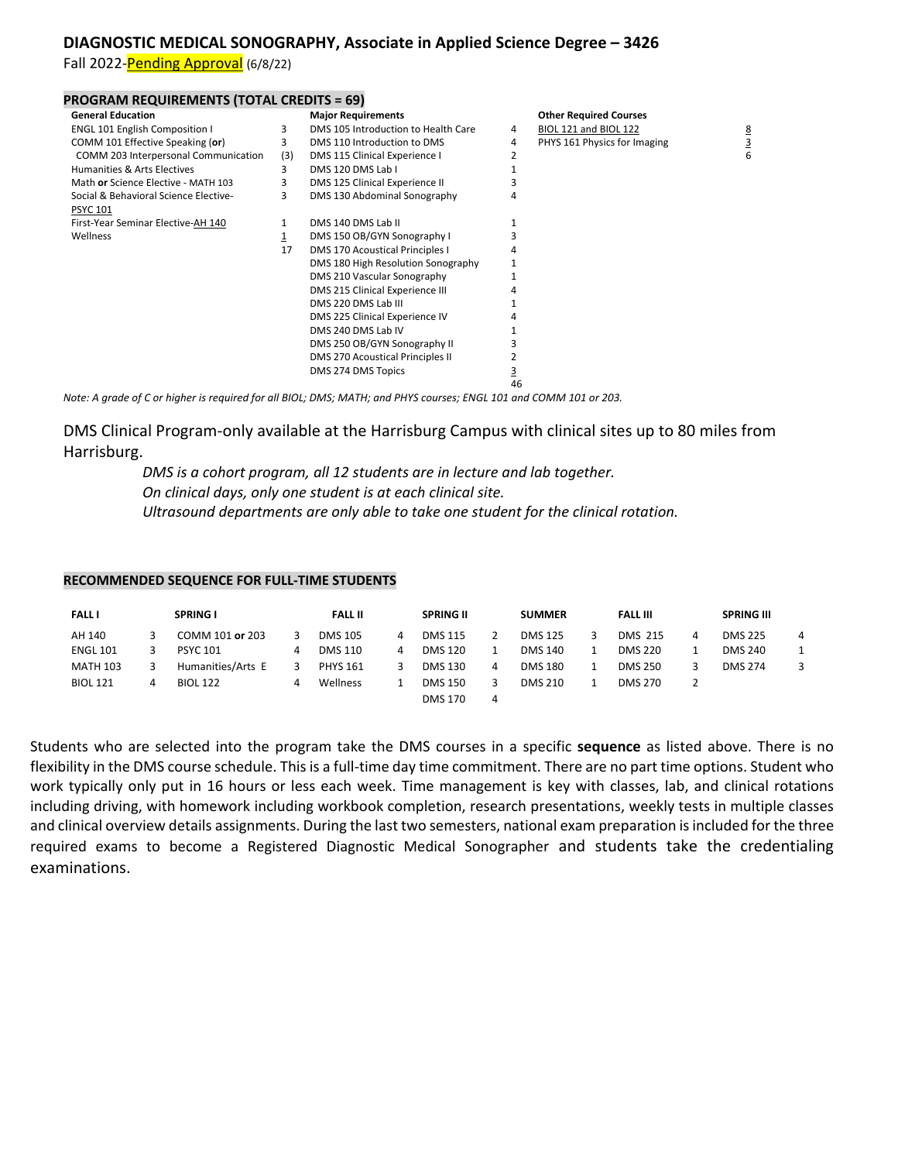## **DIAGNOSTIC MEDICAL SONOGRAPHY, Associate in Applied Science Degree – 3426**

Fall 2022-Pending Approval (6/8/22)

| <b>General Education</b>              |     | <b>Major Requirements</b>           |    | <b>Other Required Courses</b> |   |
|---------------------------------------|-----|-------------------------------------|----|-------------------------------|---|
| <b>ENGL 101 English Composition I</b> | 3   | DMS 105 Introduction to Health Care | 4  | BIOL 121 and BIOL 122         | 8 |
| COMM 101 Effective Speaking (or)      |     | DMS 110 Introduction to DMS         | 4  | PHYS 161 Physics for Imaging  |   |
| COMM 203 Interpersonal Communication  | (3) | DMS 115 Clinical Experience I       |    |                               |   |
| Humanities & Arts Electives           | 3   | DMS 120 DMS Lab I                   |    |                               |   |
| Math or Science Elective - MATH 103   | 3   | DMS 125 Clinical Experience II      |    |                               |   |
| Social & Behavioral Science Elective- | 3   | DMS 130 Abdominal Sonography        |    |                               |   |
| <b>PSYC 101</b>                       |     |                                     |    |                               |   |
| First-Year Seminar Elective-AH 140    |     | DMS 140 DMS Lab II                  |    |                               |   |
| Wellness                              |     | DMS 150 OB/GYN Sonography I         |    |                               |   |
|                                       | 17  | DMS 170 Acoustical Principles I     | 4  |                               |   |
|                                       |     | DMS 180 High Resolution Sonography  |    |                               |   |
|                                       |     | DMS 210 Vascular Sonography         |    |                               |   |
|                                       |     | DMS 215 Clinical Experience III     |    |                               |   |
|                                       |     | DMS 220 DMS Lab III                 |    |                               |   |
|                                       |     | DMS 225 Clinical Experience IV      |    |                               |   |
|                                       |     | DMS 240 DMS Lab IV                  |    |                               |   |
|                                       |     | DMS 250 OB/GYN Sonography II        |    |                               |   |
|                                       |     | DMS 270 Acoustical Principles II    |    |                               |   |
|                                       |     | DMS 274 DMS Topics                  |    |                               |   |
|                                       |     |                                     | 46 |                               |   |

*Note: A grade of C or higher is required for all BIOL; DMS; MATH; and PHYS courses; ENGL 101 and COMM 101 or 203.*

DMS Clinical Program-only available at the Harrisburg Campus with clinical sites up to 80 miles from Harrisburg.

> *DMS is a cohort program, all 12 students are in lecture and lab together. On clinical days, only one student is at each clinical site. Ultrasound departments are only able to take one student for the clinical rotation.*

## **RECOMMENDED SEQUENCE FOR FULL-TIME STUDENTS**

| <b>FALL I</b>   |   | <b>SPRING I</b>   |   | <b>FALL II</b>  |   | <b>SPRING II</b> |   | <b>SUMMER</b>  | <b>FALL III</b> |   | <b>SPRING III</b> |   |
|-----------------|---|-------------------|---|-----------------|---|------------------|---|----------------|-----------------|---|-------------------|---|
| AH 140          |   | COMM 101 or 203   |   | <b>DMS 105</b>  | 4 | <b>DMS 115</b>   |   | <b>DMS 125</b> | <b>DMS 215</b>  | 4 | <b>DMS 225</b>    | 4 |
| <b>ENGL 101</b> |   | <b>PSYC 101</b>   | 4 | <b>DMS 110</b>  | 4 | <b>DMS 120</b>   |   | DMS 140        | <b>DMS 220</b>  |   | <b>DMS 240</b>    |   |
| <b>MATH 103</b> |   | Humanities/Arts E |   | <b>PHYS 161</b> |   | <b>DMS 130</b>   |   | <b>DMS 180</b> | <b>DMS 250</b>  |   | <b>DMS 274</b>    |   |
| <b>BIOL 121</b> | 4 | <b>BIOL 122</b>   | 4 | Wellness        |   | <b>DMS 150</b>   |   | DMS 210        | <b>DMS 270</b>  |   |                   |   |
|                 |   |                   |   |                 |   | <b>DMS 170</b>   | Δ |                |                 |   |                   |   |

Students who are selected into the program take the DMS courses in a specific **sequence** as listed above. There is no flexibility in the DMS course schedule. This is a full-time day time commitment. There are no part time options. Student who work typically only put in 16 hours or less each week. Time management is key with classes, lab, and clinical rotations including driving, with homework including workbook completion, research presentations, weekly tests in multiple classes and clinical overview details assignments. During the last two semesters, national exam preparation is included for the three required exams to become a Registered Diagnostic Medical Sonographer and students take the credentialing examinations.